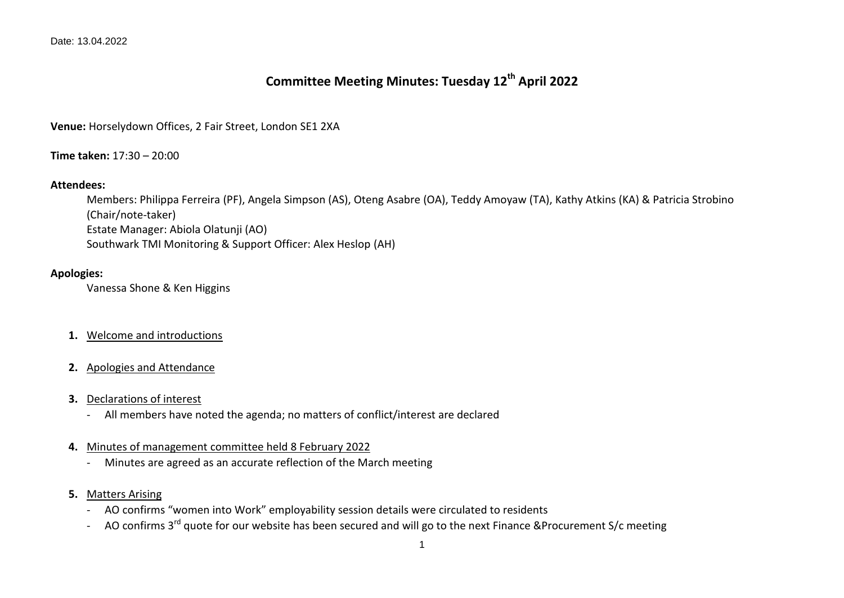# **Committee Meeting Minutes: Tuesday 12th April 2022**

**Venue:** Horselydown Offices, 2 Fair Street, London SE1 2XA

**Time taken:** 17:30 – 20:00

# **Attendees:**

Members: Philippa Ferreira (PF), Angela Simpson (AS), Oteng Asabre (OA), Teddy Amoyaw (TA), Kathy Atkins (KA) & Patricia Strobino (Chair/note-taker) Estate Manager: Abiola Olatunji (AO) Southwark TMI Monitoring & Support Officer: Alex Heslop (AH)

# **Apologies:**

Vanessa Shone & Ken Higgins

- **1.** Welcome and introductions
- **2.** Apologies and Attendance
- **3.** Declarations of interest
	- All members have noted the agenda; no matters of conflict/interest are declared
- **4.** Minutes of management committee held 8 February 2022
	- Minutes are agreed as an accurate reflection of the March meeting
- **5.** Matters Arising
	- AO confirms "women into Work" employability session details were circulated to residents
	- AO confirms 3<sup>rd</sup> quote for our website has been secured and will go to the next Finance &Procurement S/c meeting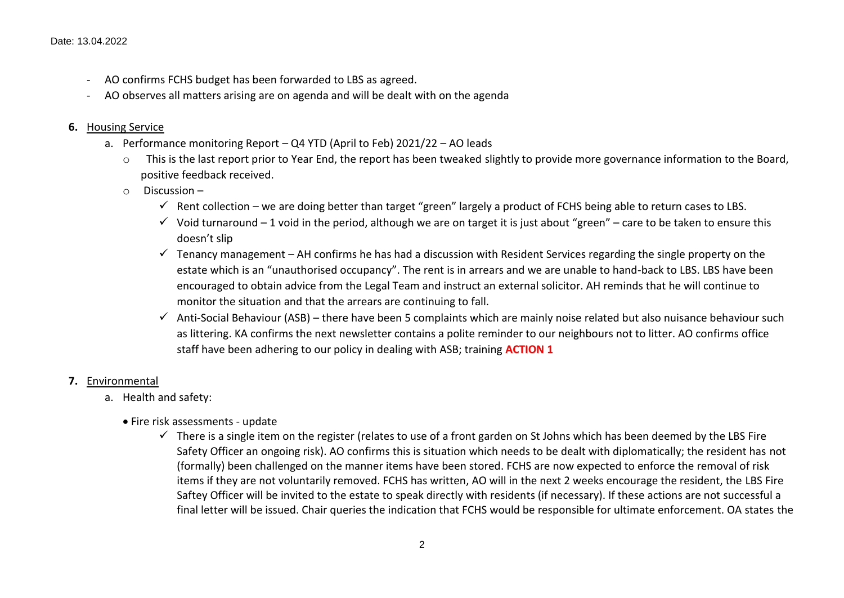- AO confirms FCHS budget has been forwarded to LBS as agreed.
- AO observes all matters arising are on agenda and will be dealt with on the agenda

### **6.** Housing Service

- a. Performance monitoring Report Q4 YTD (April to Feb) 2021/22 AO leads
	- o This is the last report prior to Year End, the report has been tweaked slightly to provide more governance information to the Board, positive feedback received.
	- $\circ$  Discussion
		- Rent collection we are doing better than target "green" largely a product of FCHS being able to return cases to LBS.
		- $\checkmark$  Void turnaround 1 void in the period, although we are on target it is just about "green" care to be taken to ensure this doesn't slip
		- $\checkmark$  Tenancy management AH confirms he has had a discussion with Resident Services regarding the single property on the estate which is an "unauthorised occupancy". The rent is in arrears and we are unable to hand-back to LBS. LBS have been encouraged to obtain advice from the Legal Team and instruct an external solicitor. AH reminds that he will continue to monitor the situation and that the arrears are continuing to fall.
		- $\checkmark$  Anti-Social Behaviour (ASB) there have been 5 complaints which are mainly noise related but also nuisance behaviour such as littering. KA confirms the next newsletter contains a polite reminder to our neighbours not to litter. AO confirms office staff have been adhering to our policy in dealing with ASB; training **ACTION 1**

# **7.** Environmental

- a. Health and safety:
	- Fire risk assessments update
		- $\checkmark$  There is a single item on the register (relates to use of a front garden on St Johns which has been deemed by the LBS Fire Safety Officer an ongoing risk). AO confirms this is situation which needs to be dealt with diplomatically; the resident has not (formally) been challenged on the manner items have been stored. FCHS are now expected to enforce the removal of risk items if they are not voluntarily removed. FCHS has written, AO will in the next 2 weeks encourage the resident, the LBS Fire Saftey Officer will be invited to the estate to speak directly with residents (if necessary). If these actions are not successful a final letter will be issued. Chair queries the indication that FCHS would be responsible for ultimate enforcement. OA states the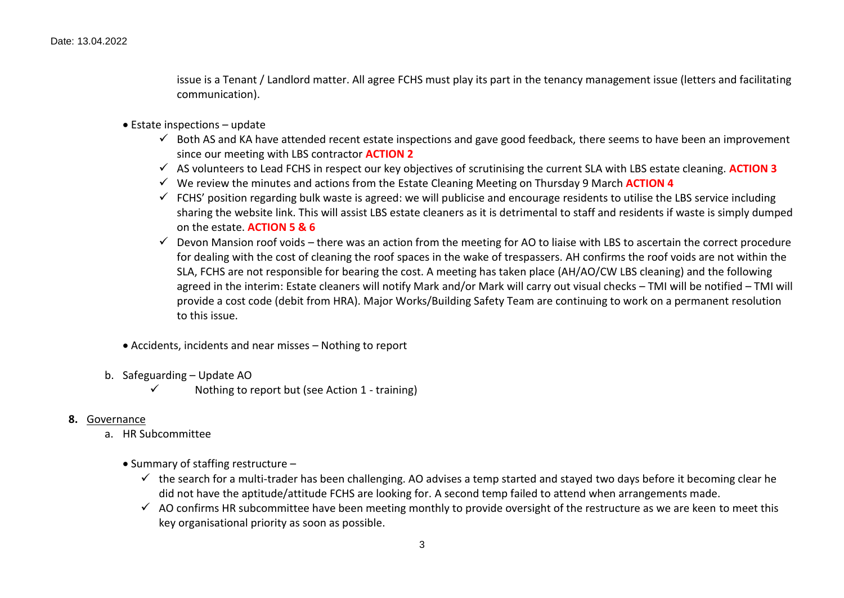issue is a Tenant / Landlord matter. All agree FCHS must play its part in the tenancy management issue (letters and facilitating communication).

- Estate inspections update
	- $\checkmark$  Both AS and KA have attended recent estate inspections and gave good feedback, there seems to have been an improvement since our meeting with LBS contractor **ACTION 2**
	- AS volunteers to Lead FCHS in respect our key objectives of scrutinising the current SLA with LBS estate cleaning. **ACTION 3**
	- We review the minutes and actions from the Estate Cleaning Meeting on Thursday 9 March **ACTION 4**
	- $\checkmark$  FCHS' position regarding bulk waste is agreed: we will publicise and encourage residents to utilise the LBS service including sharing the website link. This will assist LBS estate cleaners as it is detrimental to staff and residents if waste is simply dumped on the estate. **ACTION 5 & 6**
	- $\checkmark$  Devon Mansion roof voids there was an action from the meeting for AO to liaise with LBS to ascertain the correct procedure for dealing with the cost of cleaning the roof spaces in the wake of trespassers. AH confirms the roof voids are not within the SLA, FCHS are not responsible for bearing the cost. A meeting has taken place (AH/AO/CW LBS cleaning) and the following agreed in the interim: Estate cleaners will notify Mark and/or Mark will carry out visual checks – TMI will be notified – TMI will provide a cost code (debit from HRA). Major Works/Building Safety Team are continuing to work on a permanent resolution to this issue.
- Accidents, incidents and near misses Nothing to report
- b. Safeguarding Update AO
	- $\checkmark$  Nothing to report but (see Action 1 training)
- **8.** Governance
	- a. HR Subcommittee
		- $\bullet$  Summary of staffing restructure  $-$ 
			- $\checkmark$  the search for a multi-trader has been challenging. AO advises a temp started and stayed two days before it becoming clear he did not have the aptitude/attitude FCHS are looking for. A second temp failed to attend when arrangements made.
			- $\checkmark$  AO confirms HR subcommittee have been meeting monthly to provide oversight of the restructure as we are keen to meet this key organisational priority as soon as possible.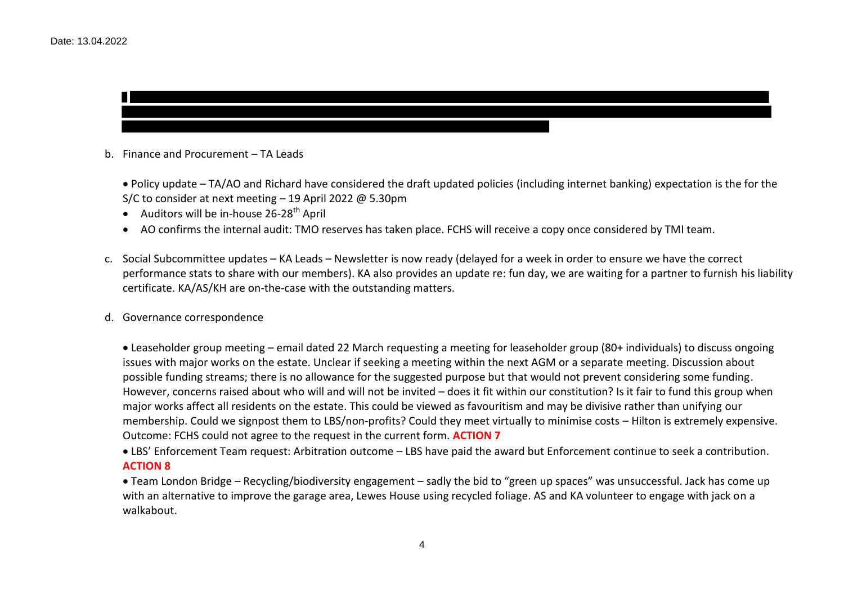

b. Finance and Procurement – TA Leads

 Policy update – TA/AO and Richard have considered the draft updated policies (including internet banking) expectation is the for the S/C to consider at next meeting – 19 April 2022 @ 5.30pm

- Auditors will be in-house  $26-28$ <sup>th</sup> April
- AO confirms the internal audit: TMO reserves has taken place. FCHS will receive a copy once considered by TMI team.
- c. Social Subcommittee updates KA Leads Newsletter is now ready (delayed for a week in order to ensure we have the correct performance stats to share with our members). KA also provides an update re: fun day, we are waiting for a partner to furnish his liability certificate. KA/AS/KH are on-the-case with the outstanding matters.
- d. Governance correspondence

 Leaseholder group meeting – email dated 22 March requesting a meeting for leaseholder group (80+ individuals) to discuss ongoing issues with major works on the estate. Unclear if seeking a meeting within the next AGM or a separate meeting. Discussion about possible funding streams; there is no allowance for the suggested purpose but that would not prevent considering some funding. However, concerns raised about who will and will not be invited – does it fit within our constitution? Is it fair to fund this group when major works affect all residents on the estate. This could be viewed as favouritism and may be divisive rather than unifying our membership. Could we signpost them to LBS/non-profits? Could they meet virtually to minimise costs – Hilton is extremely expensive. Outcome: FCHS could not agree to the request in the current form. **ACTION 7**

 LBS' Enforcement Team request: Arbitration outcome – LBS have paid the award but Enforcement continue to seek a contribution. **ACTION 8**

 Team London Bridge – Recycling/biodiversity engagement – sadly the bid to "green up spaces" was unsuccessful. Jack has come up with an alternative to improve the garage area, Lewes House using recycled foliage. AS and KA volunteer to engage with jack on a walkabout.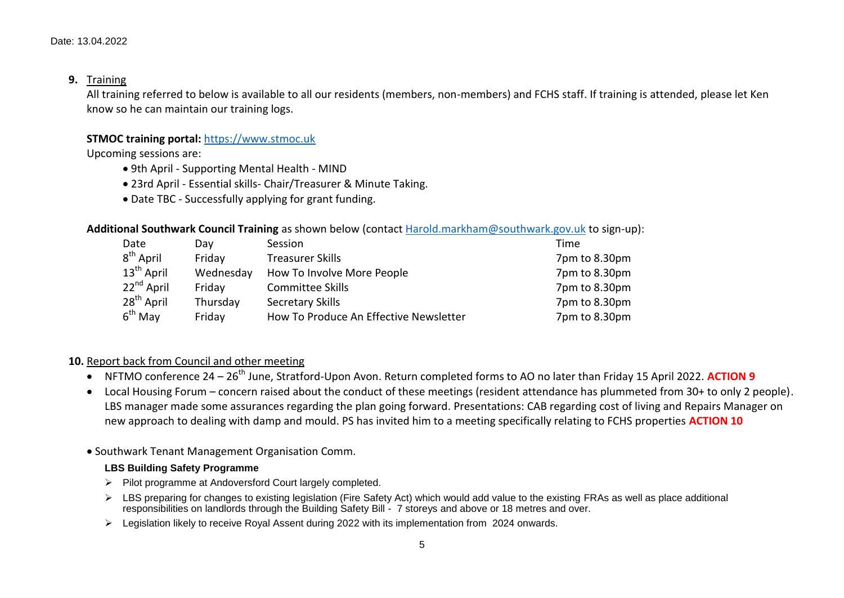### **9.** Training

All training referred to below is available to all our residents (members, non-members) and FCHS staff. If training is attended, please let Ken know so he can maintain our training logs.

# **STMOC training portal:** https://www.stmoc.uk

Upcoming sessions are:

- 9th April Supporting Mental Health MIND
- 23rd April Essential skills- Chair/Treasurer & Minute Taking.
- Date TBC Successfully applying for grant funding.

# **Additional Southwark Council Training** as shown below (contact Harold.markham@southwark.gov.uk to sign-up):

| Date                   | Dav       | Session                                | Time          |
|------------------------|-----------|----------------------------------------|---------------|
| $8th$ April            | Friday    | <b>Treasurer Skills</b>                | 7pm to 8.30pm |
| $13^{\text{th}}$ April | Wednesday | How To Involve More People             | 7pm to 8.30pm |
| $22nd$ April           | Friday    | <b>Committee Skills</b>                | 7pm to 8.30pm |
| $28^{th}$ April        | Thursday  | <b>Secretary Skills</b>                | 7pm to 8.30pm |
| $6th$ May              | Friday    | How To Produce An Effective Newsletter | 7pm to 8.30pm |

#### **10.** Report back from Council and other meeting

- **NFTMO conference 24 26<sup>th</sup> June, Stratford-Upon Avon. Return completed forms to AO no later than Friday 15 April 2022. ACTION 9**
- Local Housing Forum concern raised about the conduct of these meetings (resident attendance has plummeted from 30+ to only 2 people). LBS manager made some assurances regarding the plan going forward. Presentations: CAB regarding cost of living and Repairs Manager on new approach to dealing with damp and mould. PS has invited him to a meeting specifically relating to FCHS properties **ACTION 10**
- Southwark Tenant Management Organisation Comm.

#### **LBS Building Safety Programme**

- $\triangleright$  Pilot programme at Andoversford Court largely completed.
- EXT LBS preparing for changes to existing legislation (Fire Safety Act) which would add value to the existing FRAs as well as place additional responsibilities on landlords through the Building Safety Bill - 7 storeys and above or 18 metres and over.
- Legislation likely to receive Royal Assent during 2022 with its implementation from 2024 onwards.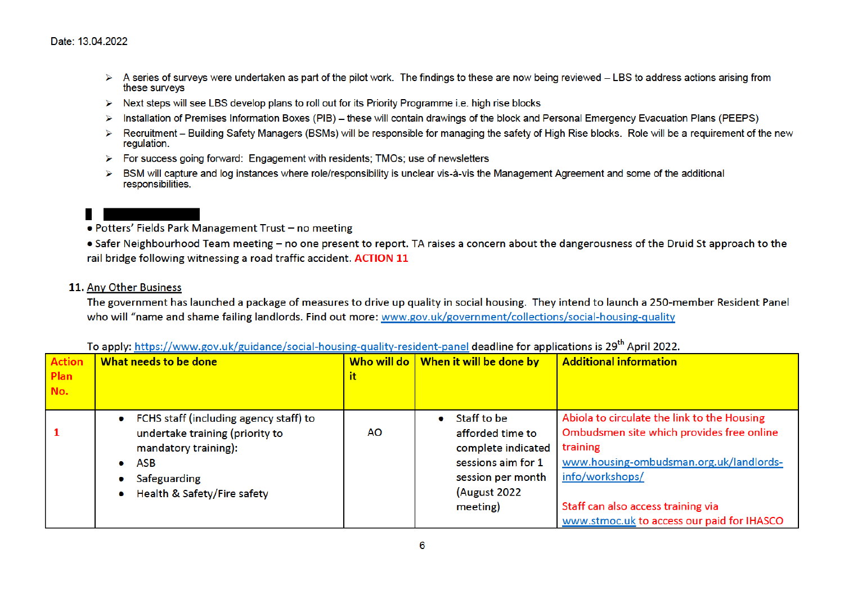- A series of surveys were undertaken as part of the pilot work. The findings to these are now being reviewed LBS to address actions arising from these surveys
- $\triangleright$  Next steps will see LBS develop plans to roll out for its Priority Programme i.e. high rise blocks
- > Installation of Premises Information Boxes (PIB) these will contain drawings of the block and Personal Emergency Evacuation Plans (PEEPS)
- Recruitment Building Safety Managers (BSMs) will be responsible for managing the safety of High Rise blocks. Role will be a requirement of the new  $\triangleright$ regulation.
- $\triangleright$  For success going forward: Engagement with residents; TMOs; use of newsletters
- BSM will capture and log instances where role/responsibility is unclear vis-à-vis the Management Agreement and some of the additional  $\triangleright$ responsibilities.

- Potters' Fields Park Management Trust no meeting
- Safer Neighbourhood Team meeting no one present to report. TA raises a concern about the dangerousness of the Druid St approach to the rail bridge following witnessing a road traffic accident. ACTION 11

# 11. Any Other Business

The government has launched a package of measures to drive up quality in social housing. They intend to launch a 250-member Resident Panel who will "name and shame failing landlords. Find out more: www.gov.uk/government/collections/social-housing-quality

| <b>Action</b><br><b>Plan</b><br>No. | What needs to be done                                                                                                                                            | Who will do  <br>it | When it will be done by                                                                                                      | <b>Additional information</b>                                                                                                                                                                                                                          |
|-------------------------------------|------------------------------------------------------------------------------------------------------------------------------------------------------------------|---------------------|------------------------------------------------------------------------------------------------------------------------------|--------------------------------------------------------------------------------------------------------------------------------------------------------------------------------------------------------------------------------------------------------|
|                                     | • FCHS staff (including agency staff) to<br>undertake training (priority to<br>mandatory training):<br><b>ASB</b><br>Safeguarding<br>Health & Safety/Fire safety | AΟ                  | Staff to be<br>afforded time to<br>complete indicated<br>sessions aim for 1<br>session per month<br>(August 2022<br>meeting) | Abiola to circulate the link to the Housing<br>Ombudsmen site which provides free online<br>training<br>www.housing-ombudsman.org.uk/landlords-<br>info/workshops/<br>Staff can also access training via<br>www.stmoc.uk to access our paid for IHASCO |

To apply: https://www.gov.uk/guidance/social-housing-quality-resident-panel deadline for applications is 29<sup>th</sup> April 2022.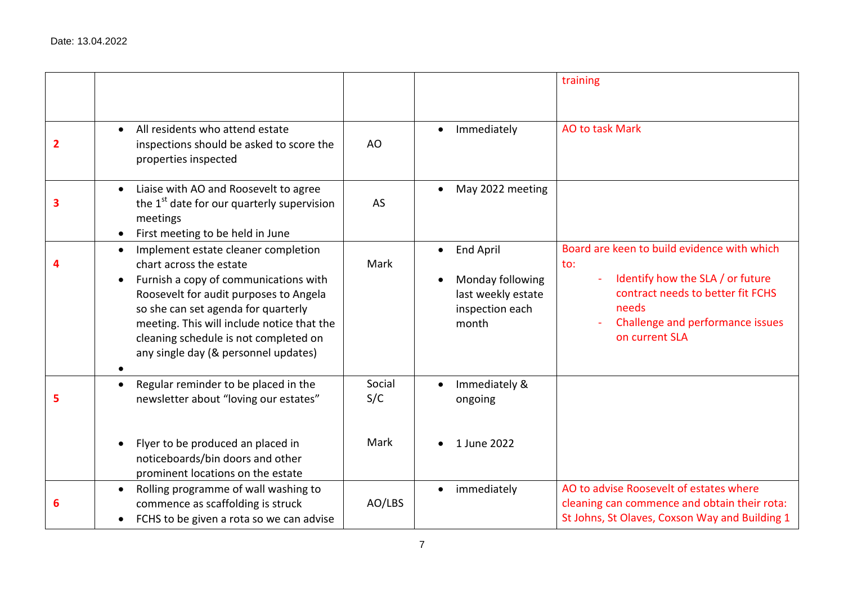|                                                                                                                                                                                                                                                                                                                                      |               |                                                                                        | training                                                                                                                                                                                   |
|--------------------------------------------------------------------------------------------------------------------------------------------------------------------------------------------------------------------------------------------------------------------------------------------------------------------------------------|---------------|----------------------------------------------------------------------------------------|--------------------------------------------------------------------------------------------------------------------------------------------------------------------------------------------|
|                                                                                                                                                                                                                                                                                                                                      |               |                                                                                        |                                                                                                                                                                                            |
| All residents who attend estate<br>$\bullet$<br>inspections should be asked to score the<br>properties inspected                                                                                                                                                                                                                     | AO            | Immediately<br>$\bullet$                                                               | <b>AO to task Mark</b>                                                                                                                                                                     |
| Liaise with AO and Roosevelt to agree<br>$\bullet$<br>the 1 <sup>st</sup> date for our quarterly supervision<br>meetings<br>First meeting to be held in June<br>$\bullet$                                                                                                                                                            | AS            | May 2022 meeting                                                                       |                                                                                                                                                                                            |
| Implement estate cleaner completion<br>$\bullet$<br>chart across the estate<br>Furnish a copy of communications with<br>Roosevelt for audit purposes to Angela<br>so she can set agenda for quarterly<br>meeting. This will include notice that the<br>cleaning schedule is not completed on<br>any single day (& personnel updates) | Mark          | <b>End April</b><br>Monday following<br>last weekly estate<br>inspection each<br>month | Board are keen to build evidence with which<br>to:<br>Identify how the SLA / or future<br>contract needs to better fit FCHS<br>needs<br>Challenge and performance issues<br>on current SLA |
| Regular reminder to be placed in the<br>$\bullet$<br>newsletter about "loving our estates"                                                                                                                                                                                                                                           | Social<br>S/C | Immediately &<br>ongoing                                                               |                                                                                                                                                                                            |
| Flyer to be produced an placed in<br>noticeboards/bin doors and other<br>prominent locations on the estate                                                                                                                                                                                                                           | Mark          | 1 June 2022                                                                            |                                                                                                                                                                                            |
| Rolling programme of wall washing to<br>$\bullet$<br>commence as scaffolding is struck<br>FCHS to be given a rota so we can advise                                                                                                                                                                                                   | AO/LBS        | immediately<br>$\bullet$                                                               | AO to advise Roosevelt of estates where<br>cleaning can commence and obtain their rota:<br>St Johns, St Olaves, Coxson Way and Building 1                                                  |